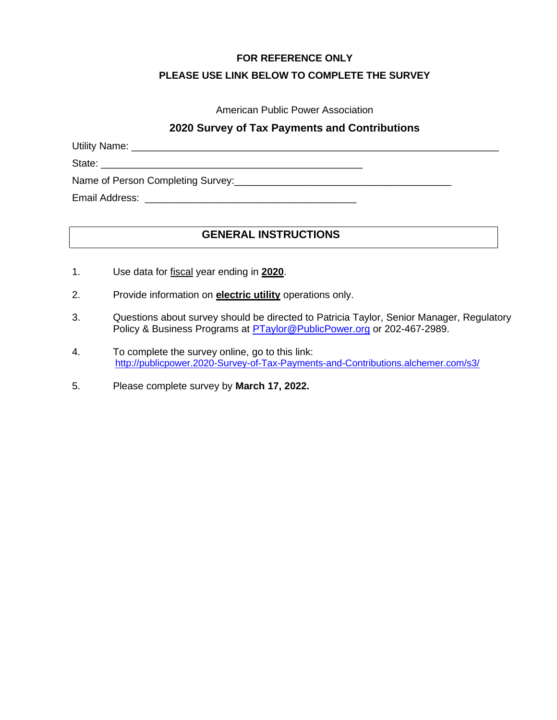#### **FOR REFERENCE ONLY**

### **PLEASE USE LINK BELOW TO COMPLETE THE SURVEY**

### American Public Power Association

## **2020 Survey of Tax Payments and Contributions**

Utility Name: \_\_\_\_\_\_\_\_\_\_\_\_\_\_\_\_\_\_\_\_\_\_\_\_\_\_\_\_\_\_\_\_\_\_\_\_\_\_\_\_\_\_\_\_\_\_\_\_\_\_\_\_\_\_\_\_\_\_\_\_\_\_\_\_\_\_

State: \_\_\_\_\_\_\_\_\_\_\_\_\_\_\_\_\_\_\_\_\_\_\_\_\_\_\_\_\_\_\_\_\_\_\_\_\_\_\_\_\_\_\_\_\_\_\_

Name of Person Completing Survey:\_\_\_\_\_\_\_\_\_\_\_\_\_\_\_\_\_\_\_\_\_\_\_\_\_\_\_\_\_\_\_\_\_\_\_\_\_\_\_

Email Address: \_\_\_\_\_\_\_\_\_\_\_\_\_\_\_\_\_\_\_\_\_\_\_\_\_\_\_\_\_\_\_\_\_\_\_\_\_\_

# **GENERAL INSTRUCTIONS**

- 1. Use data for fiscal year ending in **2020**.
- 2. Provide information on **electric utility** operations only.
- 3. Questions about survey should be directed to Patricia Taylor, Senior Manager, Regulatory Policy & Business Programs at **PTaylor@PublicPower.org** or 202-467-2989.
- 4. To complete the survey online, go to this link: [http://publicpower.2020-Survey-of-Tax-Payments-and-Contributions.alchemer.com/s3/](http://publicpower.2020-survey-of-tax-payments-and-contributions.alchemer.com/s3/)
- 5. Please complete survey by **March 17, 2022.**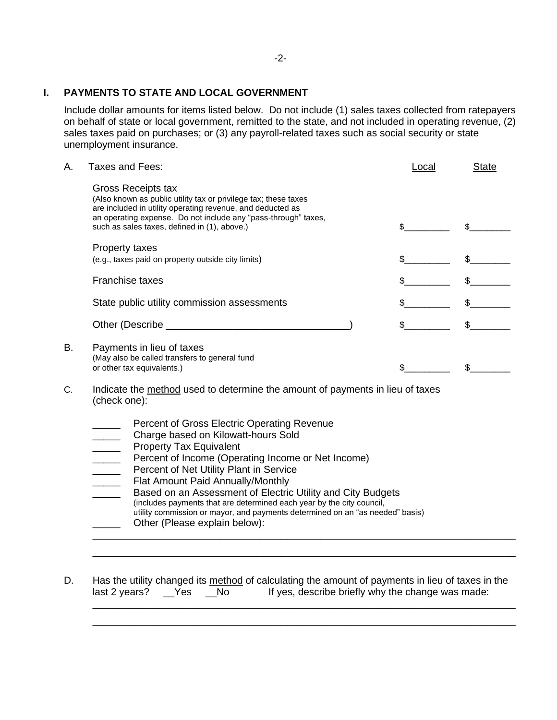#### **I. PAYMENTS TO STATE AND LOCAL GOVERNMENT**

Include dollar amounts for items listed below. Do not include (1) sales taxes collected from ratepayers on behalf of state or local government, remitted to the state, and not included in operating revenue, (2) sales taxes paid on purchases; or (3) any payroll-related taxes such as social security or state unemployment insurance.

| Α.       | Taxes and Fees:                                                                                                                                                                                                                                                                                                                                                                                                                                                                                                                      | Local | <b>State</b> |  |
|----------|--------------------------------------------------------------------------------------------------------------------------------------------------------------------------------------------------------------------------------------------------------------------------------------------------------------------------------------------------------------------------------------------------------------------------------------------------------------------------------------------------------------------------------------|-------|--------------|--|
|          | Gross Receipts tax<br>(Also known as public utility tax or privilege tax; these taxes<br>are included in utility operating revenue, and deducted as<br>an operating expense. Do not include any "pass-through" taxes,<br>such as sales taxes, defined in (1), above.)                                                                                                                                                                                                                                                                | \$    |              |  |
|          | Property taxes<br>(e.g., taxes paid on property outside city limits)                                                                                                                                                                                                                                                                                                                                                                                                                                                                 | \$    | $\mathbb{S}$ |  |
|          | Franchise taxes                                                                                                                                                                                                                                                                                                                                                                                                                                                                                                                      | \$    | \$           |  |
|          | State public utility commission assessments                                                                                                                                                                                                                                                                                                                                                                                                                                                                                          | \$    | $\mathbb{S}$ |  |
|          |                                                                                                                                                                                                                                                                                                                                                                                                                                                                                                                                      | \$    | $\mathbb{S}$ |  |
| В.<br>C. | Payments in lieu of taxes<br>(May also be called transfers to general fund<br>or other tax equivalents.)<br>Indicate the method used to determine the amount of payments in lieu of taxes                                                                                                                                                                                                                                                                                                                                            | \$    | \$           |  |
|          | (check one):<br>Percent of Gross Electric Operating Revenue<br>Charge based on Kilowatt-hours Sold<br><b>Property Tax Equivalent</b><br>Percent of Income (Operating Income or Net Income)<br>Percent of Net Utility Plant in Service<br>Flat Amount Paid Annually/Monthly<br>Based on an Assessment of Electric Utility and City Budgets<br>(includes payments that are determined each year by the city council,<br>utility commission or mayor, and payments determined on an "as needed" basis)<br>Other (Please explain below): |       |              |  |
| D        | Has the utility changed its method of calculating the amount of nayments in lieu of taxes in the                                                                                                                                                                                                                                                                                                                                                                                                                                     |       |              |  |

D. Has the utility changed its method of calculating the amount of payments in lieu of taxes in the last 2 years? \_\_Yes \_\_No lf yes, describe briefly why the change was made: If yes, describe briefly why the change was made: \_\_\_\_\_\_\_\_\_\_\_\_\_\_\_\_\_\_\_\_\_\_\_\_\_\_\_\_\_\_\_\_\_\_\_\_\_\_\_\_\_\_\_\_\_\_\_\_\_\_\_\_\_\_\_\_\_\_\_\_\_\_\_\_\_\_\_\_\_\_\_\_\_\_\_\_

\_\_\_\_\_\_\_\_\_\_\_\_\_\_\_\_\_\_\_\_\_\_\_\_\_\_\_\_\_\_\_\_\_\_\_\_\_\_\_\_\_\_\_\_\_\_\_\_\_\_\_\_\_\_\_\_\_\_\_\_\_\_\_\_\_\_\_\_\_\_\_\_\_\_\_\_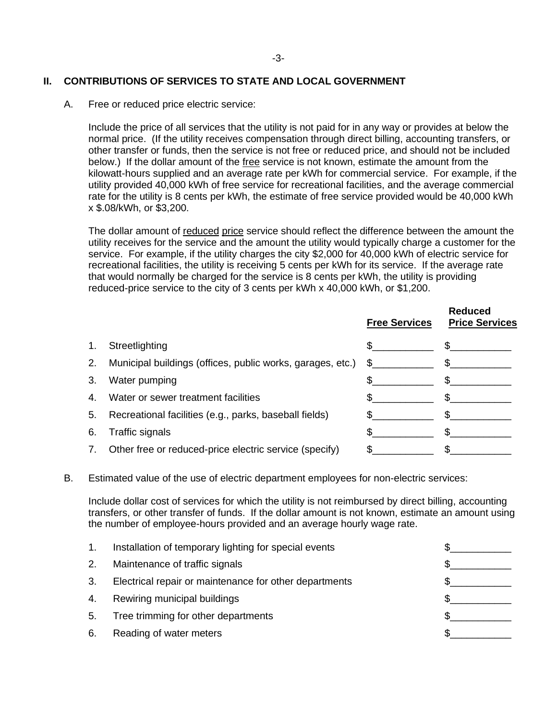### **II. CONTRIBUTIONS OF SERVICES TO STATE AND LOCAL GOVERNMENT**

A. Free or reduced price electric service:

Include the price of all services that the utility is not paid for in any way or provides at below the normal price. (If the utility receives compensation through direct billing, accounting transfers, or other transfer or funds, then the service is not free or reduced price, and should not be included below.) If the dollar amount of the free service is not known, estimate the amount from the kilowatt-hours supplied and an average rate per kWh for commercial service. For example, if the utility provided 40,000 kWh of free service for recreational facilities, and the average commercial rate for the utility is 8 cents per kWh, the estimate of free service provided would be 40,000 kWh x \$.08/kWh, or \$3,200.

The dollar amount of reduced price service should reflect the difference between the amount the utility receives for the service and the amount the utility would typically charge a customer for the service. For example, if the utility charges the city \$2,000 for 40,000 kWh of electric service for recreational facilities, the utility is receiving 5 cents per kWh for its service. If the average rate that would normally be charged for the service is 8 cents per kWh, the utility is providing reduced-price service to the city of 3 cents per kWh x 40,000 kWh, or \$1,200.

**Reduced**

|    |                                                            | <b>Free Services</b>                                                                                                                                                                                                           | Regucea<br><b>Price Services</b> |
|----|------------------------------------------------------------|--------------------------------------------------------------------------------------------------------------------------------------------------------------------------------------------------------------------------------|----------------------------------|
| 1. | Streetlighting                                             |                                                                                                                                                                                                                                | \$.                              |
| 2. | Municipal buildings (offices, public works, garages, etc.) | S and the set of the set of the set of the set of the set of the set of the set of the set of the set of the set of the set of the set of the set of the set of the set of the set of the set of the set of the set of the set |                                  |
| 3. | Water pumping                                              |                                                                                                                                                                                                                                |                                  |
| 4. | Water or sewer treatment facilities                        |                                                                                                                                                                                                                                |                                  |
|    | 5. Recreational facilities (e.g., parks, baseball fields)  |                                                                                                                                                                                                                                |                                  |
| 6. | Traffic signals                                            |                                                                                                                                                                                                                                |                                  |
| 7. | Other free or reduced-price electric service (specify)     |                                                                                                                                                                                                                                |                                  |
|    |                                                            |                                                                                                                                                                                                                                |                                  |

#### B. Estimated value of the use of electric department employees for non-electric services:

Include dollar cost of services for which the utility is not reimbursed by direct billing, accounting transfers, or other transfer of funds. If the dollar amount is not known, estimate an amount using the number of employee-hours provided and an average hourly wage rate.

|    | Installation of temporary lighting for special events  |  |
|----|--------------------------------------------------------|--|
| 2. | Maintenance of traffic signals                         |  |
| 3. | Electrical repair or maintenance for other departments |  |
| 4. | Rewiring municipal buildings                           |  |
| 5. | Tree trimming for other departments                    |  |
| 6. | Reading of water meters                                |  |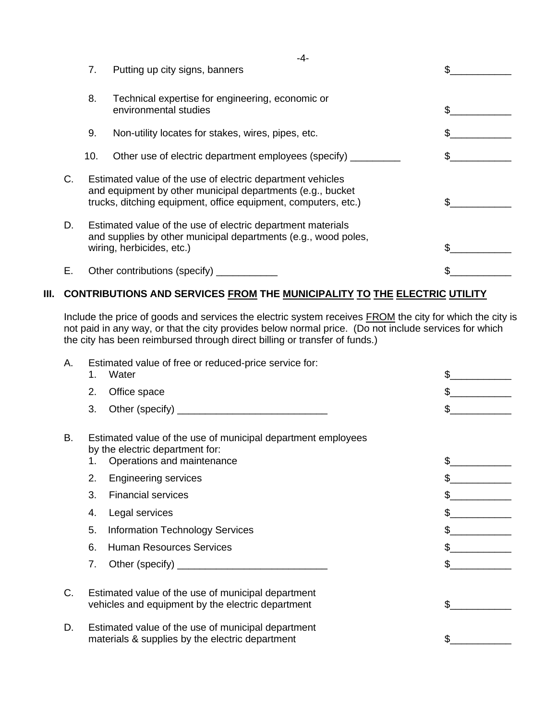|    |     | -4-                                                                                                                                                                                        |  |
|----|-----|--------------------------------------------------------------------------------------------------------------------------------------------------------------------------------------------|--|
|    | 7.  | Putting up city signs, banners                                                                                                                                                             |  |
|    | 8.  | Technical expertise for engineering, economic or<br>environmental studies                                                                                                                  |  |
|    | 9.  | Non-utility locates for stakes, wires, pipes, etc.                                                                                                                                         |  |
|    | 10. | Other use of electric department employees (specify)                                                                                                                                       |  |
| С. |     | Estimated value of the use of electric department vehicles<br>and equipment by other municipal departments (e.g., bucket<br>trucks, ditching equipment, office equipment, computers, etc.) |  |
| D. |     | Estimated value of the use of electric department materials<br>and supplies by other municipal departments (e.g., wood poles,<br>wiring, herbicides, etc.)                                 |  |
| Е. |     | Other contributions (specify)                                                                                                                                                              |  |

# **III. CONTRIBUTIONS AND SERVICES FROM THE MUNICIPALITY TO THE ELECTRIC UTILITY**

Include the price of goods and services the electric system receives **FROM** the city for which the city is not paid in any way, or that the city provides below normal price. (Do not include services for which the city has been reimbursed through direct billing or transfer of funds.)

| Α. | 1.                                                                                                            | Estimated value of free or reduced-price service for:<br>Water                                                                | \$  |
|----|---------------------------------------------------------------------------------------------------------------|-------------------------------------------------------------------------------------------------------------------------------|-----|
|    | 2.                                                                                                            | Office space                                                                                                                  | \$. |
|    | 3.                                                                                                            |                                                                                                                               |     |
| В. | 1.                                                                                                            | Estimated value of the use of municipal department employees<br>by the electric department for:<br>Operations and maintenance | \$  |
|    | 2.                                                                                                            | <b>Engineering services</b>                                                                                                   |     |
|    | 3.                                                                                                            | <b>Financial services</b>                                                                                                     |     |
|    | 4.                                                                                                            | Legal services                                                                                                                |     |
|    | 5.                                                                                                            | <b>Information Technology Services</b>                                                                                        |     |
|    | 6.                                                                                                            | <b>Human Resources Services</b>                                                                                               |     |
|    | 7.                                                                                                            |                                                                                                                               |     |
| C. | Estimated value of the use of municipal department<br>vehicles and equipment by the electric department<br>\$ |                                                                                                                               |     |
| D. |                                                                                                               | Estimated value of the use of municipal department<br>materials & supplies by the electric department                         |     |